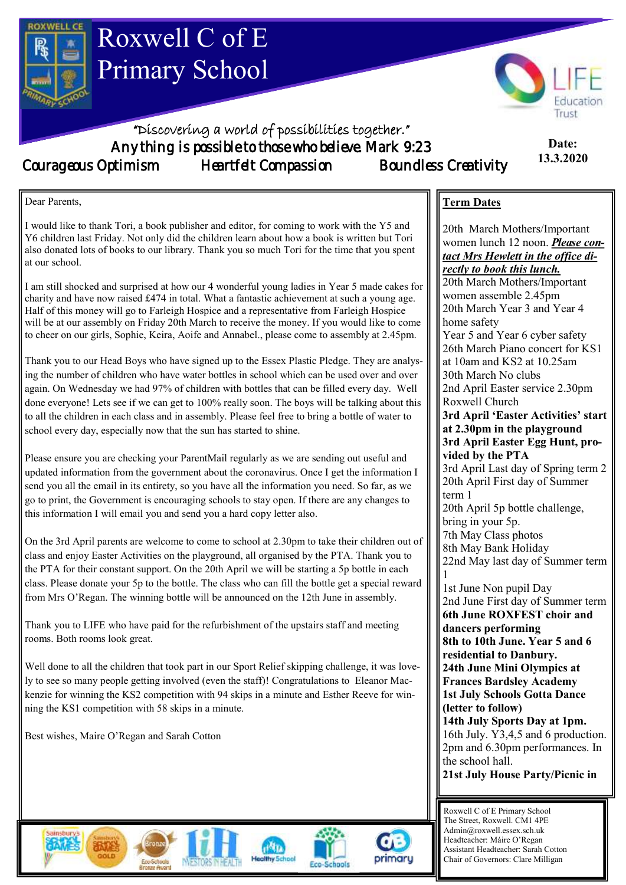

I would like to thank Tori, a book publisher and editor, for coming to work with the Y5 and Y6 children last Friday. Not only did the children learn about how a book is written but Tori also donated lots of books to our library. Thank you so much Tori for the time that you spent at our school.

I am still shocked and surprised at how our 4 wonderful young ladies in Year 5 made cakes for charity and have now raised £474 in total. What a fantastic achievement at such a young age. Half of this money will go to Farleigh Hospice and a representative from Farleigh Hospice will be at our assembly on Friday 20th March to receive the money. If you would like to come to cheer on our girls, Sophie, Keira, Aoife and Annabel., please come to assembly at 2.45pm.

Thank you to our Head Boys who have signed up to the Essex Plastic Pledge. They are analysing the number of children who have water bottles in school which can be used over and over again. On Wednesday we had 97% of children with bottles that can be filled every day. Well done everyone! Lets see if we can get to 100% really soon. The boys will be talking about this to all the children in each class and in assembly. Please feel free to bring a bottle of water to school every day, especially now that the sun has started to shine.

Please ensure you are checking your ParentMail regularly as we are sending out useful and updated information from the government about the coronavirus. Once I get the information I send you all the email in its entirety, so you have all the information you need. So far, as we go to print, the Government is encouraging schools to stay open. If there are any changes to this information I will email you and send you a hard copy letter also.

On the 3rd April parents are welcome to come to school at 2.30pm to take their children out of class and enjoy Easter Activities on the playground, all organised by the PTA. Thank you to the PTA for their constant support. On the 20th April we will be starting a 5p bottle in each class. Please donate your 5p to the bottle. The class who can fill the bottle get a special reward from Mrs O'Regan. The winning bottle will be announced on the 12th June in assembly.

Thank you to LIFE who have paid for the refurbishment of the upstairs staff and meeting rooms. Both rooms look great.

Well done to all the children that took part in our Sport Relief skipping challenge, it was lovely to see so many people getting involved (even the staff)! Congratulations to Eleanor Mackenzie for winning the KS2 competition with 94 skips in a minute and Esther Reeve for winning the KS1 competition with 58 skips in a minute.

Best wishes, Maire O'Regan and Sarah Cotton



20th March Year 3 and Year 4 home safety Year 5 and Year 6 cyber safety 26th March Piano concert for KS1 at 10am and KS2 at 10.25am 30th March No clubs 2nd April Easter service 2.30pm Roxwell Church **3rd April 'Easter Activities' start at 2.30pm in the playground 3rd April Easter Egg Hunt, provided by the PTA** 3rd April Last day of Spring term 2 20th April First day of Summer

20th March Mothers/Important women lunch 12 noon. *Please contact Mrs Hewlett in the office di-*

*rectly to book this lunch.*  20th March Mothers/Important women assemble 2.45pm

term 1 20th April 5p bottle challenge, bring in your 5p. 7th May Class photos 8th May Bank Holiday

22nd May last day of Summer term 1

1st June Non pupil Day 2nd June First day of Summer term **6th June ROXFEST choir and dancers performing 8th to 10th June. Year 5 and 6 residential to Danbury. 24th June Mini Olympics at Frances Bardsley Academy 1st July Schools Gotta Dance (letter to follow) 14th July Sports Day at 1pm.**  16th July. Y3,4,5 and 6 production. 2pm and 6.30pm performances. In the school hall.

**21st July House Party/Picnic in**